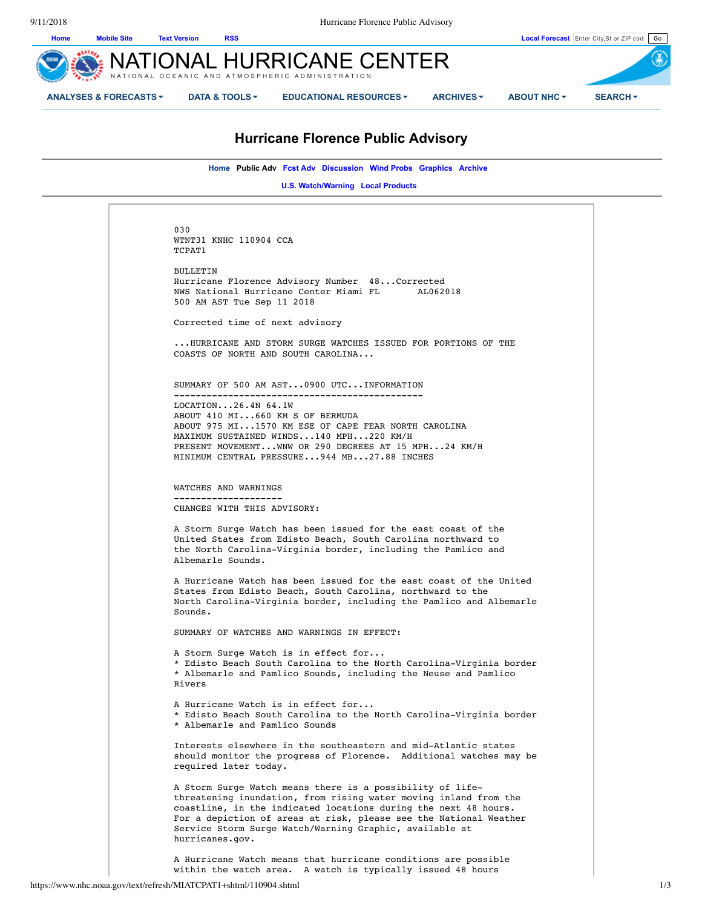9/11/2018 Hurricane Florence Public Advisory



# **Hurricane Florence Public Advisory**

**Home Public Adv Fcst Adv Discussion Wind Probs Graphics Archive** 

**U.S. Watch/Warning Local Products** 

030 WTNT31 KNHC 110904 CCA TCPAT1 BULLETIN Hurricane Florence Advisory Number 48...Corrected NWS National Hurricane Center Miami FL 500 AM AST Tue Sep 11 2018 Corrected time of next advisory ...HURRICANE AND STORM SURGE WATCHES ISSUED FOR PORTIONS OF THE COASTS OF NORTH AND SOUTH CAROLINA... SUMMARY OF 500 AM AST...0900 UTC...INFORMATION ---------------------------------------------- LOCATION...26.4N 64.1W ABOUT 410 MI...660 KM S OF BERMUDA ABOUT 975 MI...1570 KM ESE OF CAPE FEAR NORTH CAROLINA MAXIMUM SUSTAINED WINDS...140 MPH...220 KM/H PRESENT MOVEMENT...WNW OR 290 DEGREES AT 15 MPH...24 KM/H MINIMUM CENTRAL PRESSURE...944 MB...27.88 INCHES WATCHES AND WARNINGS -------------------- CHANGES WITH THIS ADVISORY: A Storm Surge Watch has been issued for the east coast of the United States from Edisto Beach, South Carolina northward to the North Carolina-Virginia border, including the Pamlico and Albemarle Sounds. A Hurricane Watch has been issued for the east coast of the United States from Edisto Beach, South Carolina, northward to the North Carolina-Virginia border, including the Pamlico and Albemarle Sounds. SUMMARY OF WATCHES AND WARNINGS IN EFFECT: A Storm Surge Watch is in effect for... \* Edisto Beach South Carolina to the North Carolina-Virginia border \* Albemarle and Pamlico Sounds, including the Neuse and Pamlico Rivers A Hurricane Watch is in effect for... \* Edisto Beach South Carolina to the North Carolina-Virginia border \* Albemarle and Pamlico Sounds Interests elsewhere in the southeastern and mid-Atlantic states should monitor the progress of Florence. Additional watches may be required later today. A Storm Surge Watch means there is a possibility of lifethreatening inundation, from rising water moving inland from the coastline, in the indicated locations during the next 48 hours. For a depiction of areas at risk, please see the National Weather Service Storm Surge Watch/Warning Graphic, available at hurricanes.gov. A Hurricane Watch means that hurricane conditions are possible within the watch area. A watch is typically issued 48 hours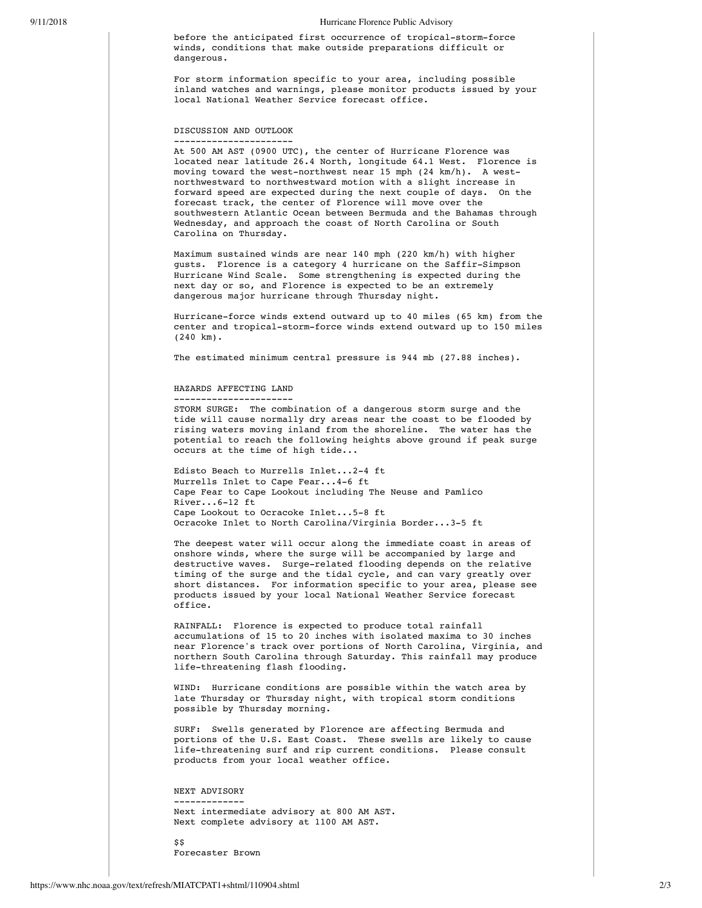#### 9/11/2018 Hurricane Florence Public Advisory

before the anticipated first occurrence of tropical-storm-force winds, conditions that make outside preparations difficult or dangerous.

For storm information specific to your area, including possible inland watches and warnings, please monitor products issued by your local National Weather Service forecast office.

DISCUSSION AND OUTLOOK

---------------------- At 500 AM AST (0900 UTC), the center of Hurricane Florence was located near latitude 26.4 North, longitude 64.1 West. Florence is moving toward the west-northwest near 15 mph (24 km/h). A westnorthwestward to northwestward motion with a slight increase in forward speed are expected during the next couple of days. On the forecast track, the center of Florence will move over the southwestern Atlantic Ocean between Bermuda and the Bahamas through Wednesday, and approach the coast of North Carolina or South Carolina on Thursday.

Maximum sustained winds are near 140 mph (220 km/h) with higher gusts. Florence is a category 4 hurricane on the Saffir-Simpson Hurricane Wind Scale. Some strengthening is expected during the next day or so, and Florence is expected to be an extremely dangerous major hurricane through Thursday night.

Hurricane-force winds extend outward up to 40 miles (65 km) from the center and tropical-storm-force winds extend outward up to 150 miles (240 km).

The estimated minimum central pressure is 944 mb (27.88 inches).

#### HAZARDS AFFECTING LAND

---------------------- STORM SURGE: The combination of a dangerous storm surge and the tide will cause normally dry areas near the coast to be flooded by rising waters moving inland from the shoreline. The water has the potential to reach the following heights above ground if peak surge occurs at the time of high tide...

Edisto Beach to Murrells Inlet...2-4 ft Murrells Inlet to Cape Fear...4-6 ft Cape Fear to Cape Lookout including The Neuse and Pamlico River...6-12 ft Cape Lookout to Ocracoke Inlet...5-8 ft Ocracoke Inlet to North Carolina/Virginia Border...3-5 ft

The deepest water will occur along the immediate coast in areas of onshore winds, where the surge will be accompanied by large and destructive waves. Surge-related flooding depends on the relative timing of the surge and the tidal cycle, and can vary greatly over short distances. For information specific to your area, please see products issued by your local National Weather Service forecast office.

RAINFALL: Florence is expected to produce total rainfall accumulations of 15 to 20 inches with isolated maxima to 30 inches near Florence's track over portions of North Carolina, Virginia, and northern South Carolina through Saturday. This rainfall may produce life-threatening flash flooding.

WIND: Hurricane conditions are possible within the watch area by late Thursday or Thursday night, with tropical storm conditions possible by Thursday morning.

SURF: Swells generated by Florence are affecting Bermuda and portions of the U.S. East Coast. These swells are likely to cause life-threatening surf and rip current conditions. Please consult products from your local weather office.

NEXT ADVISORY

------------- Next intermediate advisory at 800 AM AST. Next complete advisory at 1100 AM AST.

 $\overline{\mathbf{s}}$ Forecaster Brown